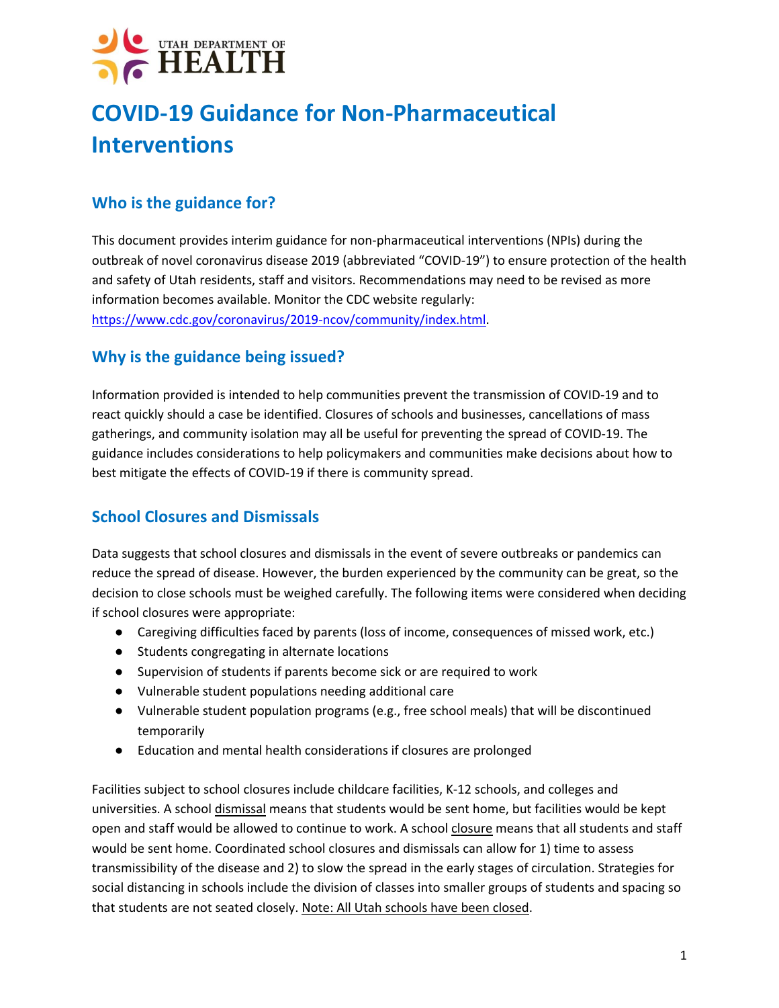## **COVID-19 Guidance for Non-Pharmaceutical Interventions**

## **Who is the guidance for?**

This document provides interim guidance for non-pharmaceutical interventions (NPIs) during the outbreak of novel coronavirus disease 2019 (abbreviated "COVID-19") to ensure protection of the health and safety of Utah residents, staff and visitors. Recommendations may need to be revised as more information becomes available. Monitor the CDC website regularly: https://www.cdc.gov/coronavirus/2019-ncov/community/index.html.

### **Why is the guidance being issued?**

Information provided is intended to help communities prevent the transmission of COVID-19 and to react quickly should a case be identified. Closures of schools and businesses, cancellations of mass gatherings, and community isolation may all be useful for preventing the spread of COVID-19. The guidance includes considerations to help policymakers and communities make decisions about how to best mitigate the effects of COVID-19 if there is community spread.

### **School Closures and Dismissals**

Data suggests that school closures and dismissals in the event of severe outbreaks or pandemics can reduce the spread of disease. However, the burden experienced by the community can be great, so the decision to close schools must be weighed carefully. The following items were considered when deciding if school closures were appropriate:

- Caregiving difficulties faced by parents (loss of income, consequences of missed work, etc.)
- Students congregating in alternate locations
- Supervision of students if parents become sick or are required to work
- Vulnerable student populations needing additional care
- Vulnerable student population programs (e.g., free school meals) that will be discontinued temporarily
- Education and mental health considerations if closures are prolonged

Facilities subject to school closures include childcare facilities, K-12 schools, and colleges and universities. A school dismissal means that students would be sent home, but facilities would be kept open and staff would be allowed to continue to work. A school closure means that all students and staff would be sent home. Coordinated school closures and dismissals can allow for 1) time to assess transmissibility of the disease and 2) to slow the spread in the early stages of circulation. Strategies for social distancing in schools include the division of classes into smaller groups of students and spacing so that students are not seated closely. Note: All Utah schools have been closed.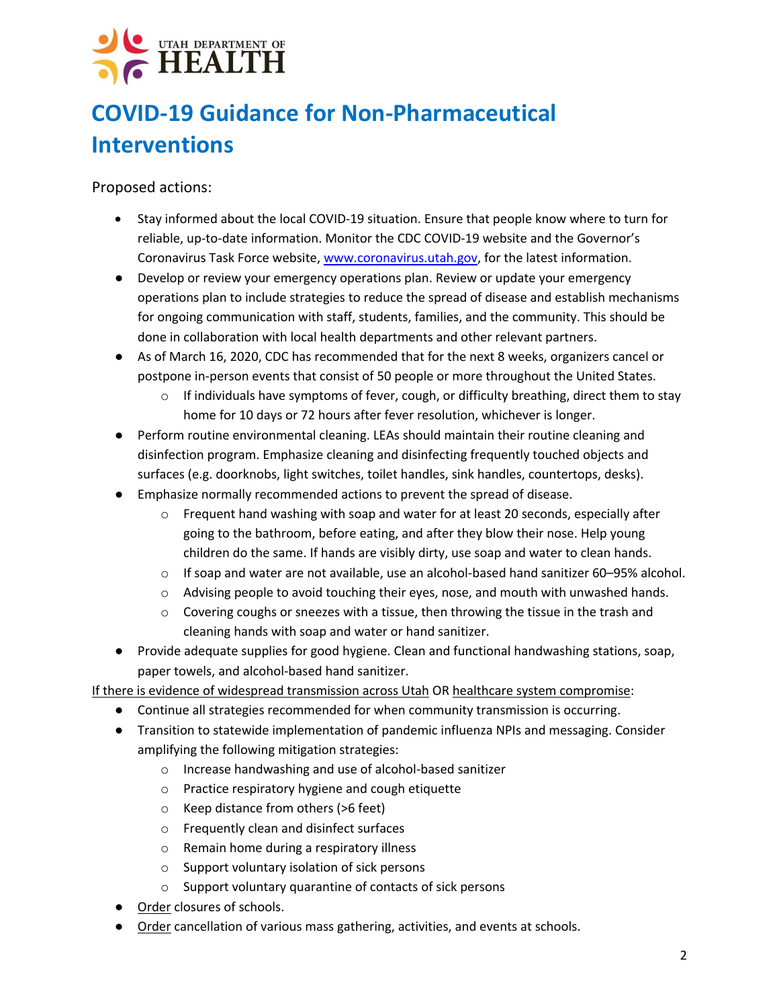## **COVID-19 Guidance for Non-Pharmaceutical Interventions**

Proposed actions:

- Stay informed about the local COVID-19 situation. Ensure that people know where to turn for reliable, up-to-date information. Monitor the CDC COVID-19 website and the Governor's Coronavirus Task Force website, www.coronavirus.utah.gov, for the latest information.
- Develop or review your emergency operations plan. Review or update your emergency operations plan to include strategies to reduce the spread of disease and establish mechanisms for ongoing communication with staff, students, families, and the community. This should be done in collaboration with local health departments and other relevant partners.
- As of March 16, 2020, CDC has recommended that for the next 8 weeks, organizers cancel or postpone in-person events that consist of 50 people or more throughout the United States.
	- $\circ$  If individuals have symptoms of fever, cough, or difficulty breathing, direct them to stay home for 10 days or 72 hours after fever resolution, whichever is longer.
- Perform routine environmental cleaning. LEAs should maintain their routine cleaning and disinfection program. Emphasize cleaning and disinfecting frequently touched objects and surfaces (e.g. doorknobs, light switches, toilet handles, sink handles, countertops, desks).
- Emphasize normally recommended actions to prevent the spread of disease.
	- $\circ$  Frequent hand washing with soap and water for at least 20 seconds, especially after going to the bathroom, before eating, and after they blow their nose. Help young children do the same. If hands are visibly dirty, use soap and water to clean hands.
	- $\circ$  If soap and water are not available, use an alcohol-based hand sanitizer 60–95% alcohol.
	- $\circ$  Advising people to avoid touching their eyes, nose, and mouth with unwashed hands.
	- $\circ$  Covering coughs or sneezes with a tissue, then throwing the tissue in the trash and cleaning hands with soap and water or hand sanitizer.
- Provide adequate supplies for good hygiene. Clean and functional handwashing stations, soap, paper towels, and alcohol-based hand sanitizer.

If there is evidence of widespread transmission across Utah OR healthcare system compromise:

- Continue all strategies recommended for when community transmission is occurring.
- Transition to statewide implementation of pandemic influenza NPIs and messaging. Consider amplifying the following mitigation strategies:
	- o Increase handwashing and use of alcohol-based sanitizer
	- o Practice respiratory hygiene and cough etiquette
	- o Keep distance from others (>6 feet)
	- o Frequently clean and disinfect surfaces
	- o Remain home during a respiratory illness
	- o Support voluntary isolation of sick persons
	- o Support voluntary quarantine of contacts of sick persons
- Order closures of schools.
- Order cancellation of various mass gathering, activities, and events at schools.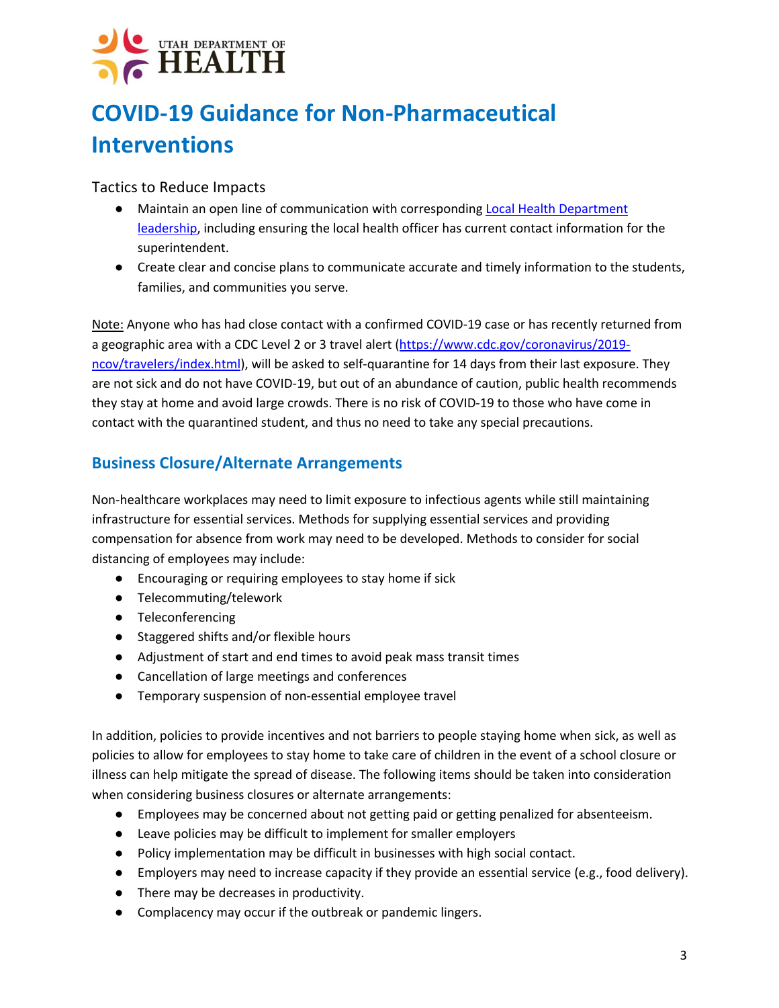## **COVID-19 Guidance for Non-Pharmaceutical Interventions**

#### Tactics to Reduce Impacts

- Maintain an open line of communication with corresponding Local Health Department leadership, including ensuring the local health officer has current contact information for the superintendent.
- Create clear and concise plans to communicate accurate and timely information to the students, families, and communities you serve.

Note: Anyone who has had close contact with a confirmed COVID-19 case or has recently returned from a geographic area with a CDC Level 2 or 3 travel alert (https://www.cdc.gov/coronavirus/2019 ncov/travelers/index.html), will be asked to self-quarantine for 14 days from their last exposure. They are not sick and do not have COVID-19, but out of an abundance of caution, public health recommends they stay at home and avoid large crowds. There is no risk of COVID-19 to those who have come in contact with the quarantined student, and thus no need to take any special precautions.

### **Business Closure/Alternate Arrangements**

Non-healthcare workplaces may need to limit exposure to infectious agents while still maintaining infrastructure for essential services. Methods for supplying essential services and providing compensation for absence from work may need to be developed. Methods to consider for social distancing of employees may include:

- Encouraging or requiring employees to stay home if sick
- Telecommuting/telework
- Teleconferencing
- Staggered shifts and/or flexible hours
- Adjustment of start and end times to avoid peak mass transit times
- Cancellation of large meetings and conferences
- Temporary suspension of non-essential employee travel

In addition, policies to provide incentives and not barriers to people staying home when sick, as well as policies to allow for employees to stay home to take care of children in the event of a school closure or illness can help mitigate the spread of disease. The following items should be taken into consideration when considering business closures or alternate arrangements:

- Employees may be concerned about not getting paid or getting penalized for absenteeism.
- Leave policies may be difficult to implement for smaller employers
- Policy implementation may be difficult in businesses with high social contact.
- Employers may need to increase capacity if they provide an essential service (e.g., food delivery).
- There may be decreases in productivity.
- Complacency may occur if the outbreak or pandemic lingers.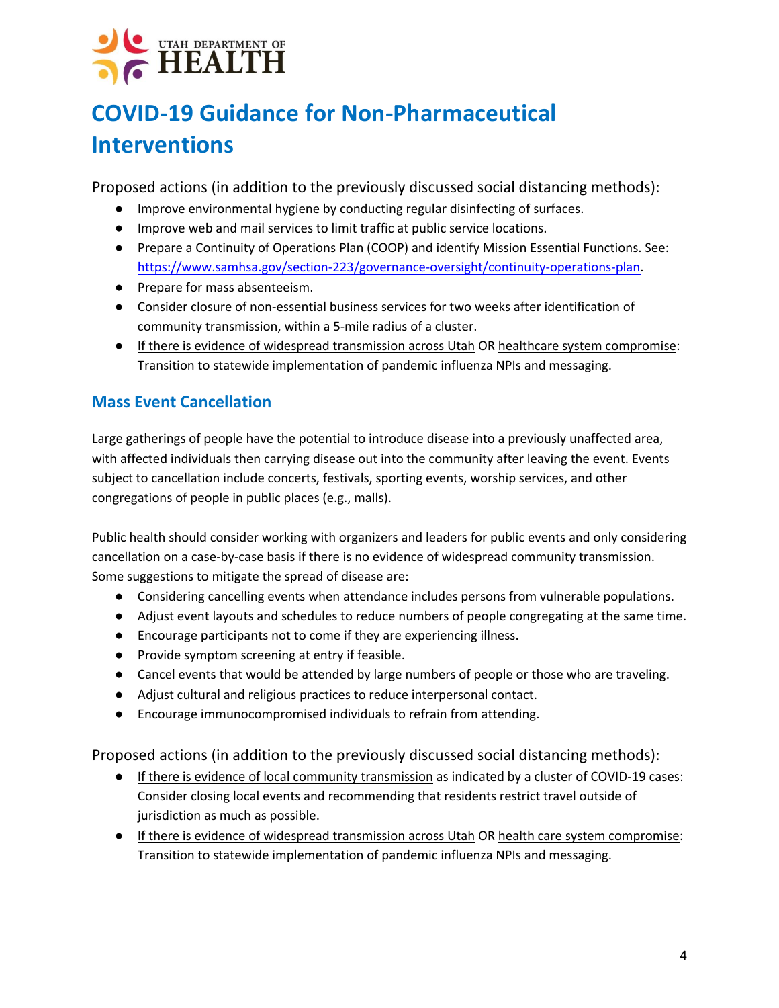## **COVID-19 Guidance for Non-Pharmaceutical Interventions**

Proposed actions (in addition to the previously discussed social distancing methods):

- Improve environmental hygiene by conducting regular disinfecting of surfaces.
- Improve web and mail services to limit traffic at public service locations.
- Prepare a Continuity of Operations Plan (COOP) and identify Mission Essential Functions. See: https://www.samhsa.gov/section-223/governance-oversight/continuity-operations-plan.
- Prepare for mass absenteeism.
- Consider closure of non-essential business services for two weeks after identification of community transmission, within a 5-mile radius of a cluster.
- If there is evidence of widespread transmission across Utah OR healthcare system compromise: Transition to statewide implementation of pandemic influenza NPIs and messaging.

### **Mass Event Cancellation**

Large gatherings of people have the potential to introduce disease into a previously unaffected area, with affected individuals then carrying disease out into the community after leaving the event. Events subject to cancellation include concerts, festivals, sporting events, worship services, and other congregations of people in public places (e.g., malls).

Public health should consider working with organizers and leaders for public events and only considering cancellation on a case-by-case basis if there is no evidence of widespread community transmission. Some suggestions to mitigate the spread of disease are:

- Considering cancelling events when attendance includes persons from vulnerable populations.
- Adjust event layouts and schedules to reduce numbers of people congregating at the same time.
- Encourage participants not to come if they are experiencing illness.
- Provide symptom screening at entry if feasible.
- Cancel events that would be attended by large numbers of people or those who are traveling.
- Adjust cultural and religious practices to reduce interpersonal contact.
- Encourage immunocompromised individuals to refrain from attending.

Proposed actions (in addition to the previously discussed social distancing methods):

- If there is evidence of local community transmission as indicated by a cluster of COVID-19 cases: Consider closing local events and recommending that residents restrict travel outside of jurisdiction as much as possible.
- If there is evidence of widespread transmission across Utah OR health care system compromise: Transition to statewide implementation of pandemic influenza NPIs and messaging.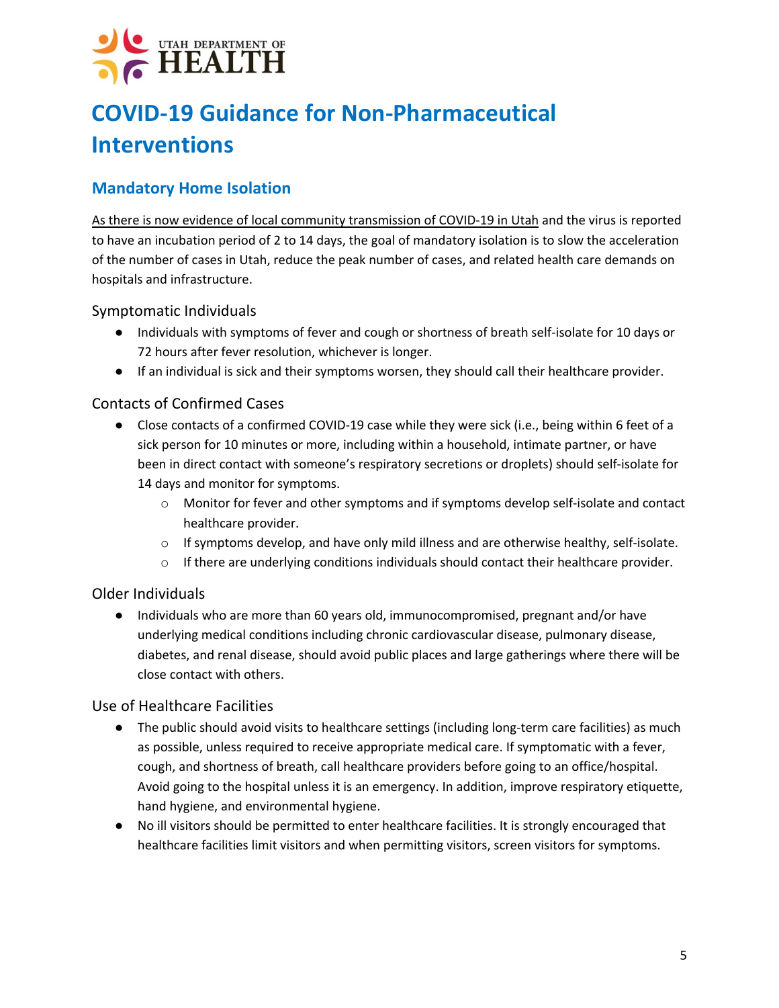## **COVID-19 Guidance for Non-Pharmaceutical Interventions**

### **Mandatory Home Isolation**

As there is now evidence of local community transmission of COVID-19 in Utah and the virus is reported to have an incubation period of 2 to 14 days, the goal of mandatory isolation is to slow the acceleration of the number of cases in Utah, reduce the peak number of cases, and related health care demands on hospitals and infrastructure.

#### Symptomatic Individuals

- Individuals with symptoms of fever and cough or shortness of breath self-isolate for 10 days or 72 hours after fever resolution, whichever is longer.
- If an individual is sick and their symptoms worsen, they should call their healthcare provider.

#### Contacts of Confirmed Cases

- Close contacts of a confirmed COVID-19 case while they were sick (i.e., being within 6 feet of a sick person for 10 minutes or more, including within a household, intimate partner, or have been in direct contact with someone's respiratory secretions or droplets) should self-isolate for 14 days and monitor for symptoms.
	- o Monitor for fever and other symptoms and if symptoms develop self-isolate and contact healthcare provider.
	- $\circ$  If symptoms develop, and have only mild illness and are otherwise healthy, self-isolate.
	- $\circ$  If there are underlying conditions individuals should contact their healthcare provider.

#### Older Individuals

● Individuals who are more than 60 years old, immunocompromised, pregnant and/or have underlying medical conditions including chronic cardiovascular disease, pulmonary disease, diabetes, and renal disease, should avoid public places and large gatherings where there will be close contact with others.

#### Use of Healthcare Facilities

- The public should avoid visits to healthcare settings (including long-term care facilities) as much as possible, unless required to receive appropriate medical care. If symptomatic with a fever, cough, and shortness of breath, call healthcare providers before going to an office/hospital. Avoid going to the hospital unless it is an emergency. In addition, improve respiratory etiquette, hand hygiene, and environmental hygiene.
- No ill visitors should be permitted to enter healthcare facilities. It is strongly encouraged that healthcare facilities limit visitors and when permitting visitors, screen visitors for symptoms.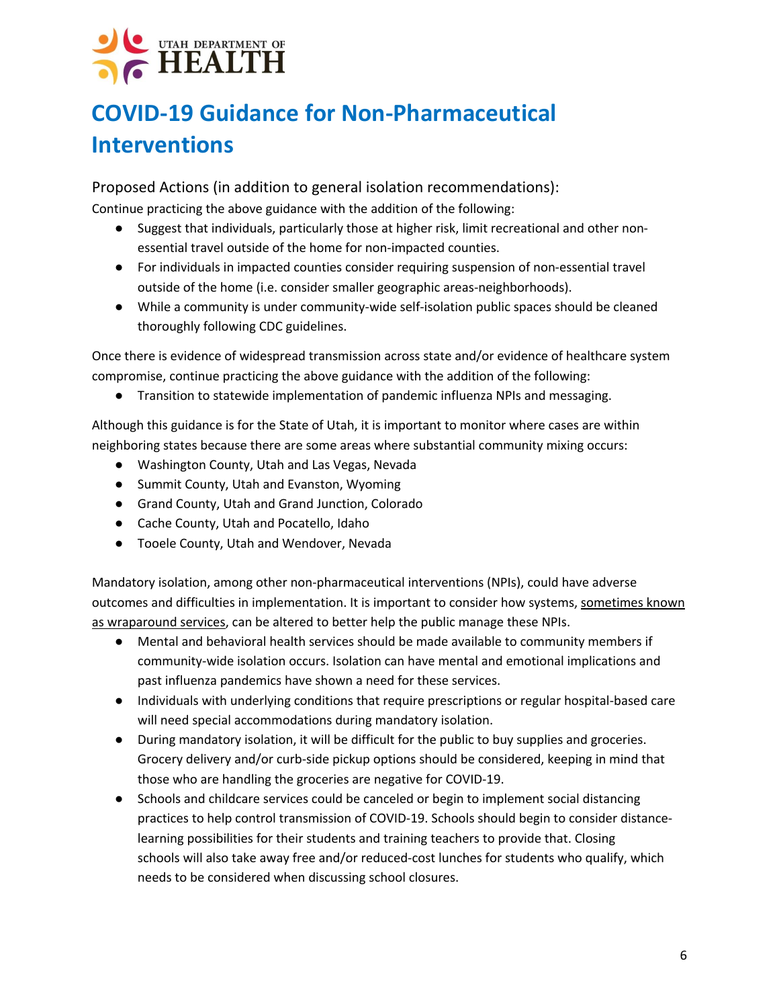# UTAH DEPARTMENT OF **HEALTH**

## **COVID-19 Guidance for Non-Pharmaceutical Interventions**

Proposed Actions (in addition to general isolation recommendations): Continue practicing the above guidance with the addition of the following:

- Suggest that individuals, particularly those at higher risk, limit recreational and other nonessential travel outside of the home for non-impacted counties.
- For individuals in impacted counties consider requiring suspension of non-essential travel outside of the home (i.e. consider smaller geographic areas-neighborhoods).
- While a community is under community-wide self-isolation public spaces should be cleaned thoroughly following CDC guidelines.

Once there is evidence of widespread transmission across state and/or evidence of healthcare system compromise, continue practicing the above guidance with the addition of the following:

● Transition to statewide implementation of pandemic influenza NPIs and messaging.

Although this guidance is for the State of Utah, it is important to monitor where cases are within neighboring states because there are some areas where substantial community mixing occurs:

- Washington County, Utah and Las Vegas, Nevada
- Summit County, Utah and Evanston, Wyoming
- Grand County, Utah and Grand Junction, Colorado
- Cache County, Utah and Pocatello, Idaho
- Tooele County, Utah and Wendover, Nevada

Mandatory isolation, among other non-pharmaceutical interventions (NPIs), could have adverse outcomes and difficulties in implementation. It is important to consider how systems, sometimes known as wraparound services, can be altered to better help the public manage these NPIs.

- Mental and behavioral health services should be made available to community members if community-wide isolation occurs. Isolation can have mental and emotional implications and past influenza pandemics have shown a need for these services.
- Individuals with underlying conditions that require prescriptions or regular hospital-based care will need special accommodations during mandatory isolation.
- During mandatory isolation, it will be difficult for the public to buy supplies and groceries. Grocery delivery and/or curb-side pickup options should be considered, keeping in mind that those who are handling the groceries are negative for COVID-19.
- Schools and childcare services could be canceled or begin to implement social distancing practices to help control transmission of COVID-19. Schools should begin to consider distancelearning possibilities for their students and training teachers to provide that. Closing schools will also take away free and/or reduced-cost lunches for students who qualify, which needs to be considered when discussing school closures.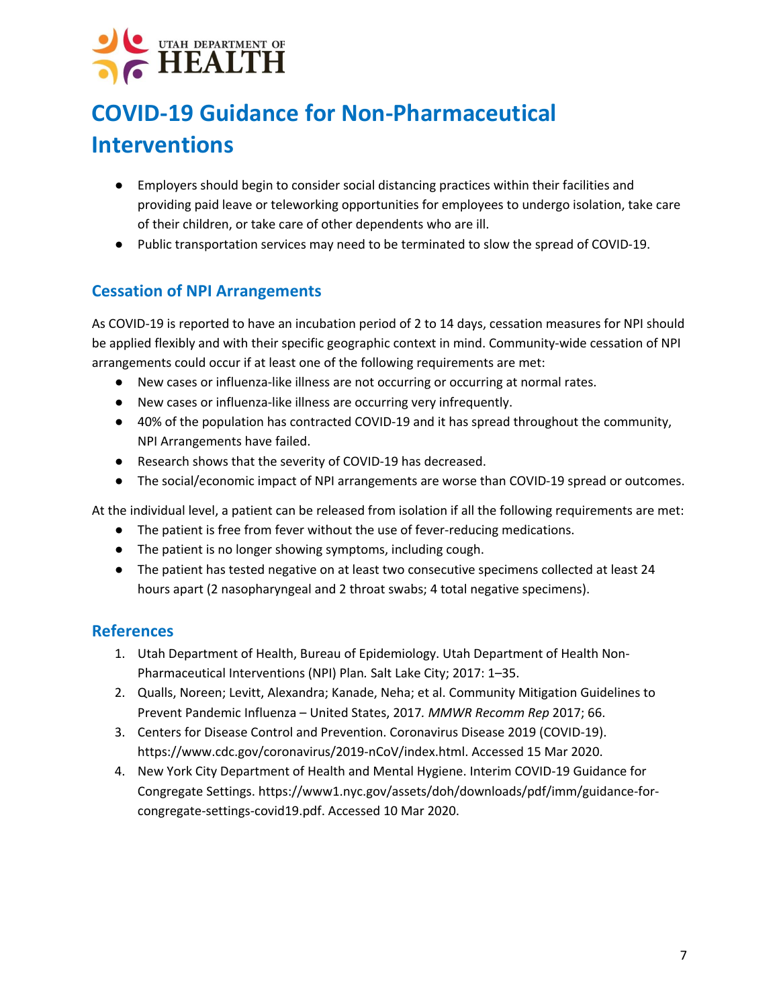## **COVID-19 Guidance for Non-Pharmaceutical Interventions**

- Employers should begin to consider social distancing practices within their facilities and providing paid leave or teleworking opportunities for employees to undergo isolation, take care of their children, or take care of other dependents who are ill.
- Public transportation services may need to be terminated to slow the spread of COVID-19.

### **Cessation of NPI Arrangements**

As COVID-19 is reported to have an incubation period of 2 to 14 days, cessation measures for NPI should be applied flexibly and with their specific geographic context in mind. Community-wide cessation of NPI arrangements could occur if at least one of the following requirements are met:

- New cases or influenza-like illness are not occurring or occurring at normal rates.
- New cases or influenza-like illness are occurring very infrequently.
- 40% of the population has contracted COVID-19 and it has spread throughout the community, NPI Arrangements have failed.
- Research shows that the severity of COVID-19 has decreased.
- The social/economic impact of NPI arrangements are worse than COVID-19 spread or outcomes.

At the individual level, a patient can be released from isolation if all the following requirements are met:

- The patient is free from fever without the use of fever-reducing medications.
- The patient is no longer showing symptoms, including cough.
- The patient has tested negative on at least two consecutive specimens collected at least 24 hours apart (2 nasopharyngeal and 2 throat swabs; 4 total negative specimens).

#### **References**

- 1. Utah Department of Health, Bureau of Epidemiology. Utah Department of Health Non-Pharmaceutical Interventions (NPI) Plan*.* Salt Lake City; 2017: 1–35.
- 2. Qualls, Noreen; Levitt, Alexandra; Kanade, Neha; et al. Community Mitigation Guidelines to Prevent Pandemic Influenza – United States, 2017*. MMWR Recomm Rep* 2017; 66.
- 3. Centers for Disease Control and Prevention. Coronavirus Disease 2019 (COVID-19). https://www.cdc.gov/coronavirus/2019-nCoV/index.html. Accessed 15 Mar 2020.
- 4. New York City Department of Health and Mental Hygiene. Interim COVID-19 Guidance for Congregate Settings. https://www1.nyc.gov/assets/doh/downloads/pdf/imm/guidance-forcongregate-settings-covid19.pdf. Accessed 10 Mar 2020.